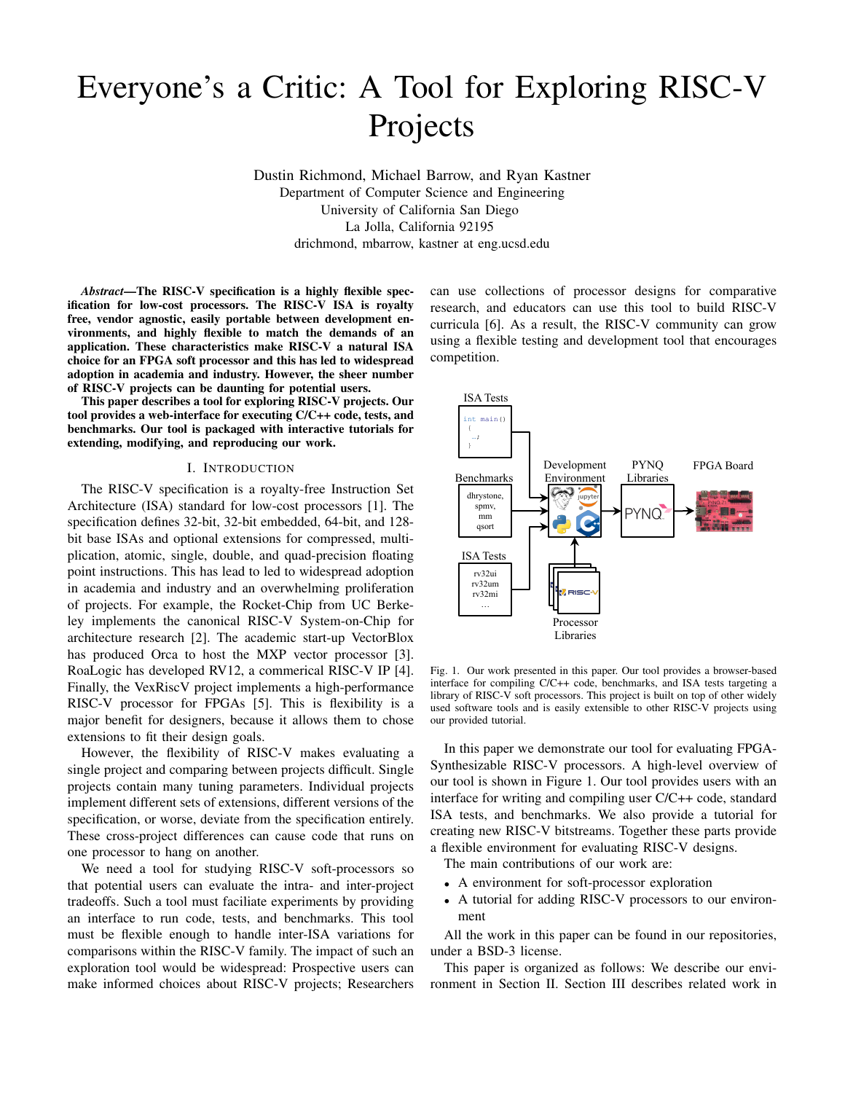# Everyone's a Critic: A Tool for Exploring RISC-V Projects

Dustin Richmond, Michael Barrow, and Ryan Kastner Department of Computer Science and Engineering University of California San Diego La Jolla, California 92195 drichmond, mbarrow, kastner at eng.ucsd.edu

*Abstract*—The RISC-V specification is a highly flexible specification for low-cost processors. The RISC-V ISA is royalty free, vendor agnostic, easily portable between development environments, and highly flexible to match the demands of an application. These characteristics make RISC-V a natural ISA choice for an FPGA soft processor and this has led to widespread adoption in academia and industry. However, the sheer number of RISC-V projects can be daunting for potential users.

This paper describes a tool for exploring RISC-V projects. Our tool provides a web-interface for executing C/C++ code, tests, and benchmarks. Our tool is packaged with interactive tutorials for extending, modifying, and reproducing our work.

#### I. INTRODUCTION

The RISC-V specification is a royalty-free Instruction Set Architecture (ISA) standard for low-cost processors [1]. The specification defines 32-bit, 32-bit embedded, 64-bit, and 128 bit base ISAs and optional extensions for compressed, multiplication, atomic, single, double, and quad-precision floating point instructions. This has lead to led to widespread adoption in academia and industry and an overwhelming proliferation of projects. For example, the Rocket-Chip from UC Berkeley implements the canonical RISC-V System-on-Chip for architecture research [2]. The academic start-up VectorBlox has produced Orca to host the MXP vector processor [3]. RoaLogic has developed RV12, a commerical RISC-V IP [4]. Finally, the VexRiscV project implements a high-performance RISC-V processor for FPGAs [5]. This is flexibility is a major benefit for designers, because it allows them to chose extensions to fit their design goals.

However, the flexibility of RISC-V makes evaluating a single project and comparing between projects difficult. Single projects contain many tuning parameters. Individual projects implement different sets of extensions, different versions of the specification, or worse, deviate from the specification entirely. These cross-project differences can cause code that runs on one processor to hang on another.

We need a tool for studying RISC-V soft-processors so that potential users can evaluate the intra- and inter-project tradeoffs. Such a tool must faciliate experiments by providing an interface to run code, tests, and benchmarks. This tool must be flexible enough to handle inter-ISA variations for comparisons within the RISC-V family. The impact of such an exploration tool would be widespread: Prospective users can make informed choices about RISC-V projects; Researchers can use collections of processor designs for comparative research, and educators can use this tool to build RISC-V curricula [6]. As a result, the RISC-V community can grow using a flexible testing and development tool that encourages competition.



Fig. 1. Our work presented in this paper. Our tool provides a browser-based interface for compiling C/C++ code, benchmarks, and ISA tests targeting a library of RISC-V soft processors. This project is built on top of other widely used software tools and is easily extensible to other RISC-V projects using our provided tutorial.

In this paper we demonstrate our tool for evaluating FPGA-Synthesizable RISC-V processors. A high-level overview of our tool is shown in Figure 1. Our tool provides users with an interface for writing and compiling user C/C++ code, standard ISA tests, and benchmarks. We also provide a tutorial for creating new RISC-V bitstreams. Together these parts provide a flexible environment for evaluating RISC-V designs.

The main contributions of our work are:

- A environment for soft-processor exploration
- A tutorial for adding RISC-V processors to our environment

All the work in this paper can be found in our repositories, under a BSD-3 license.

This paper is organized as follows: We describe our environment in Section II. Section III describes related work in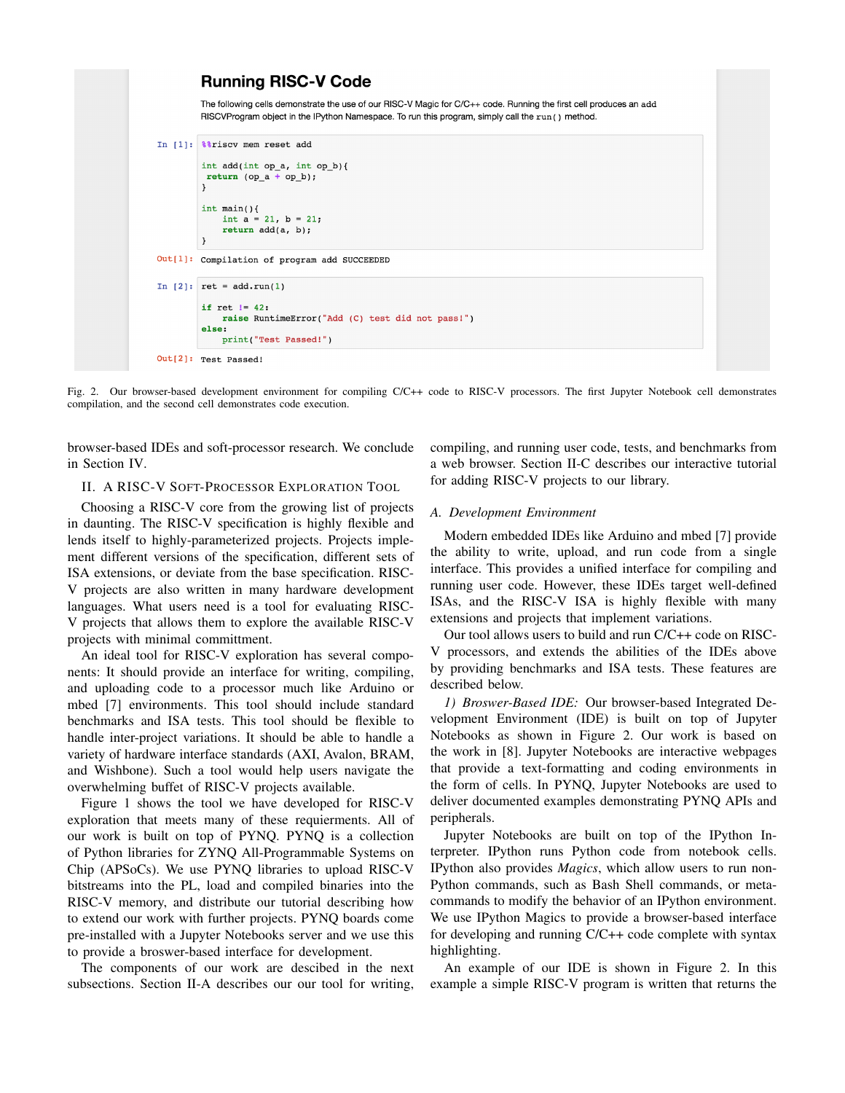```
Running RISC-V Code
          The following cells demonstrate the use of our RISC-V Magic for C/C++ code. Running the first cell produces an add
          RISCVProgram object in the IPython Namespace. To run this program, simply call the run () method.
In [1]: ** riscy mem reset add
          \begin{minipage}{.4\linewidth} int add(int op_a, int op_b) \end{minipage} \label{eq:intadd}return (op_a + op_b);\lambdaint \text{main}()int a = 21, b = 21;
               return add(a, b);\overline{\mathbf{r}}Out[1]: Compilation of program add SUCCEEDED
In [2]: ret = add.run(1)if ret != 42:
               raise RuntimeError("Add (C) test did not pass!")
          else:
               print("Test Passed!")
Out[2]: Test Passed!
```
Fig. 2. Our browser-based development environment for compiling C/C++ code to RISC-V processors. The first Jupyter Notebook cell demonstrates compilation, and the second cell demonstrates code execution.

browser-based IDEs and soft-processor research. We conclude in Section IV.

II. A RISC-V SOFT-PROCESSOR EXPLORATION TOOL

Choosing a RISC-V core from the growing list of projects in daunting. The RISC-V specification is highly flexible and lends itself to highly-parameterized projects. Projects implement different versions of the specification, different sets of ISA extensions, or deviate from the base specification. RISC-V projects are also written in many hardware development languages. What users need is a tool for evaluating RISC-V projects that allows them to explore the available RISC-V projects with minimal committment.

An ideal tool for RISC-V exploration has several components: It should provide an interface for writing, compiling, and uploading code to a processor much like Arduino or mbed [7] environments. This tool should include standard benchmarks and ISA tests. This tool should be flexible to handle inter-project variations. It should be able to handle a variety of hardware interface standards (AXI, Avalon, BRAM, and Wishbone). Such a tool would help users navigate the overwhelming buffet of RISC-V projects available.

Figure 1 shows the tool we have developed for RISC-V exploration that meets many of these requierments. All of our work is built on top of PYNQ. PYNQ is a collection of Python libraries for ZYNQ All-Programmable Systems on Chip (APSoCs). We use PYNQ libraries to upload RISC-V bitstreams into the PL, load and compiled binaries into the RISC-V memory, and distribute our tutorial describing how to extend our work with further projects. PYNQ boards come pre-installed with a Jupyter Notebooks server and we use this to provide a broswer-based interface for development.

The components of our work are descibed in the next subsections. Section II-A describes our our tool for writing,

compiling, and running user code, tests, and benchmarks from a web browser. Section II-C describes our interactive tutorial for adding RISC-V projects to our library.

### *A. Development Environment*

Modern embedded IDEs like Arduino and mbed [7] provide the ability to write, upload, and run code from a single interface. This provides a unified interface for compiling and running user code. However, these IDEs target well-defined ISAs, and the RISC-V ISA is highly flexible with many extensions and projects that implement variations.

Our tool allows users to build and run C/C++ code on RISC-V processors, and extends the abilities of the IDEs above by providing benchmarks and ISA tests. These features are described below.

*1) Broswer-Based IDE:* Our browser-based Integrated Development Environment (IDE) is built on top of Jupyter Notebooks as shown in Figure 2. Our work is based on the work in [8]. Jupyter Notebooks are interactive webpages that provide a text-formatting and coding environments in the form of cells. In PYNQ, Jupyter Notebooks are used to deliver documented examples demonstrating PYNQ APIs and peripherals.

Jupyter Notebooks are built on top of the IPython Interpreter. IPython runs Python code from notebook cells. IPython also provides *Magics*, which allow users to run non-Python commands, such as Bash Shell commands, or metacommands to modify the behavior of an IPython environment. We use IPython Magics to provide a browser-based interface for developing and running C/C++ code complete with syntax highlighting.

An example of our IDE is shown in Figure 2. In this example a simple RISC-V program is written that returns the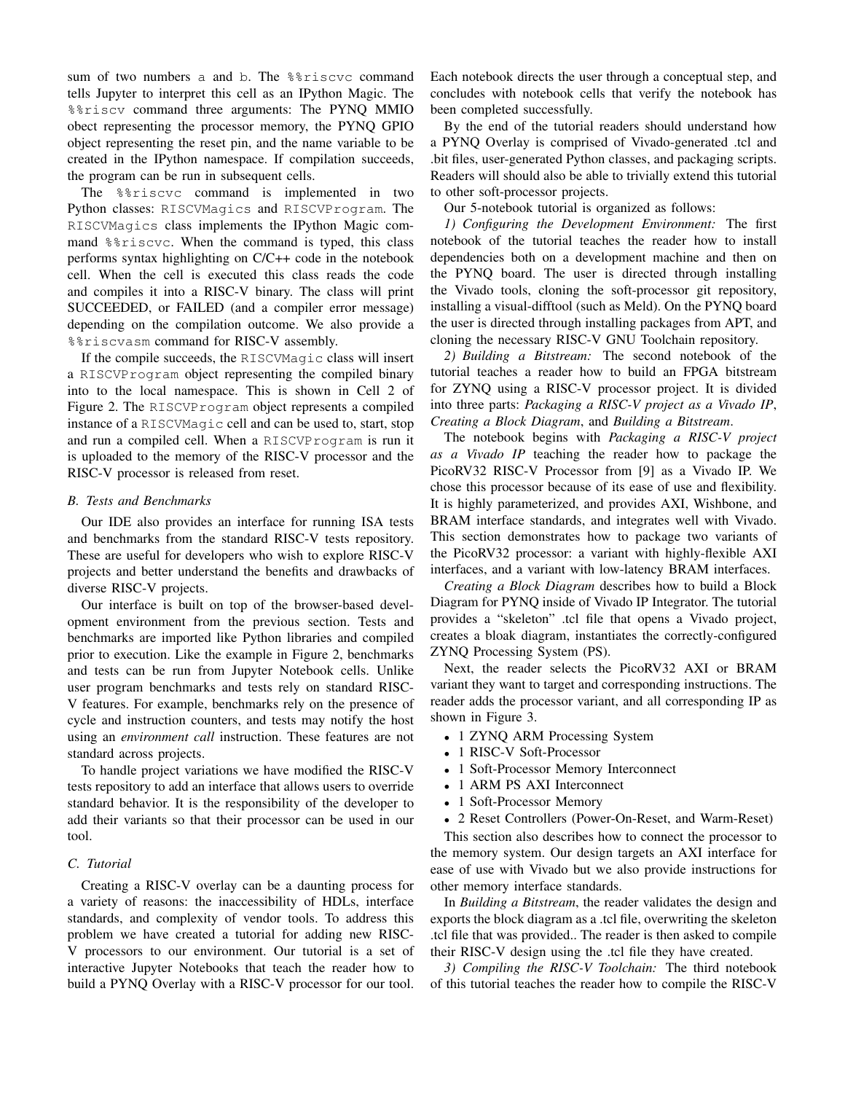sum of two numbers a and b. The %%riscvc command tells Jupyter to interpret this cell as an IPython Magic. The %%riscv command three arguments: The PYNQ MMIO obect representing the processor memory, the PYNQ GPIO object representing the reset pin, and the name variable to be created in the IPython namespace. If compilation succeeds, the program can be run in subsequent cells.

The %%riscvc command is implemented in two Python classes: RISCVMagics and RISCVProgram. The RISCVMagics class implements the IPython Magic command %%riscvc. When the command is typed, this class performs syntax highlighting on C/C++ code in the notebook cell. When the cell is executed this class reads the code and compiles it into a RISC-V binary. The class will print SUCCEEDED, or FAILED (and a compiler error message) depending on the compilation outcome. We also provide a %%riscvasm command for RISC-V assembly.

If the compile succeeds, the RISCVMagic class will insert a RISCVProgram object representing the compiled binary into to the local namespace. This is shown in Cell 2 of Figure 2. The RISCVProgram object represents a compiled instance of a RISCVMagic cell and can be used to, start, stop and run a compiled cell. When a RISCVProgram is run it is uploaded to the memory of the RISC-V processor and the RISC-V processor is released from reset.

# *B. Tests and Benchmarks*

Our IDE also provides an interface for running ISA tests and benchmarks from the standard RISC-V tests repository. These are useful for developers who wish to explore RISC-V projects and better understand the benefits and drawbacks of diverse RISC-V projects.

Our interface is built on top of the browser-based development environment from the previous section. Tests and benchmarks are imported like Python libraries and compiled prior to execution. Like the example in Figure 2, benchmarks and tests can be run from Jupyter Notebook cells. Unlike user program benchmarks and tests rely on standard RISC-V features. For example, benchmarks rely on the presence of cycle and instruction counters, and tests may notify the host using an *environment call* instruction. These features are not standard across projects.

To handle project variations we have modified the RISC-V tests repository to add an interface that allows users to override standard behavior. It is the responsibility of the developer to add their variants so that their processor can be used in our tool.

# *C. Tutorial*

Creating a RISC-V overlay can be a daunting process for a variety of reasons: the inaccessibility of HDLs, interface standards, and complexity of vendor tools. To address this problem we have created a tutorial for adding new RISC-V processors to our environment. Our tutorial is a set of interactive Jupyter Notebooks that teach the reader how to build a PYNQ Overlay with a RISC-V processor for our tool. Each notebook directs the user through a conceptual step, and concludes with notebook cells that verify the notebook has been completed successfully.

By the end of the tutorial readers should understand how a PYNQ Overlay is comprised of Vivado-generated .tcl and .bit files, user-generated Python classes, and packaging scripts. Readers will should also be able to trivially extend this tutorial to other soft-processor projects.

Our 5-notebook tutorial is organized as follows:

*1) Configuring the Development Environment:* The first notebook of the tutorial teaches the reader how to install dependencies both on a development machine and then on the PYNQ board. The user is directed through installing the Vivado tools, cloning the soft-processor git repository, installing a visual-difftool (such as Meld). On the PYNQ board the user is directed through installing packages from APT, and cloning the necessary RISC-V GNU Toolchain repository.

*2) Building a Bitstream:* The second notebook of the tutorial teaches a reader how to build an FPGA bitstream for ZYNQ using a RISC-V processor project. It is divided into three parts: *Packaging a RISC-V project as a Vivado IP*, *Creating a Block Diagram*, and *Building a Bitstream*.

The notebook begins with *Packaging a RISC-V project as a Vivado IP* teaching the reader how to package the PicoRV32 RISC-V Processor from [9] as a Vivado IP. We chose this processor because of its ease of use and flexibility. It is highly parameterized, and provides AXI, Wishbone, and BRAM interface standards, and integrates well with Vivado. This section demonstrates how to package two variants of the PicoRV32 processor: a variant with highly-flexible AXI interfaces, and a variant with low-latency BRAM interfaces.

*Creating a Block Diagram* describes how to build a Block Diagram for PYNQ inside of Vivado IP Integrator. The tutorial provides a "skeleton" .tcl file that opens a Vivado project, creates a bloak diagram, instantiates the correctly-configured ZYNQ Processing System (PS).

Next, the reader selects the PicoRV32 AXI or BRAM variant they want to target and corresponding instructions. The reader adds the processor variant, and all corresponding IP as shown in Figure 3.

- 1 ZYNQ ARM Processing System
- 1 RISC-V Soft-Processor
- 1 Soft-Processor Memory Interconnect
- 1 ARM PS AXI Interconnect
- 1 Soft-Processor Memory
- 2 Reset Controllers (Power-On-Reset, and Warm-Reset)

This section also describes how to connect the processor to the memory system. Our design targets an AXI interface for ease of use with Vivado but we also provide instructions for other memory interface standards.

In *Building a Bitstream*, the reader validates the design and exports the block diagram as a .tcl file, overwriting the skeleton .tcl file that was provided.. The reader is then asked to compile their RISC-V design using the .tcl file they have created.

*3) Compiling the RISC-V Toolchain:* The third notebook of this tutorial teaches the reader how to compile the RISC-V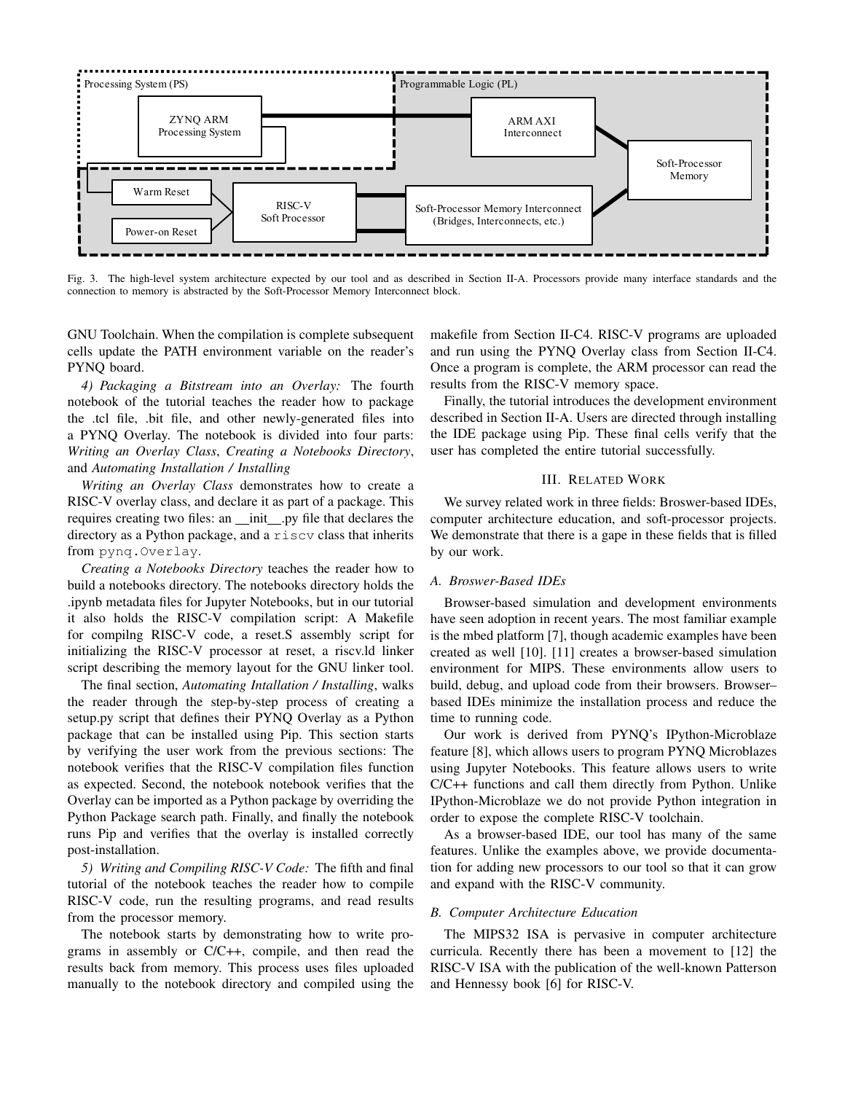

Fig. 3. The high-level system architecture expected by our tool and as described in Section II-A. Processors provide many interface standards and the connection to memory is abstracted by the Soft-Processor Memory Interconnect block.

GNU Toolchain. When the compilation is complete subsequent cells update the PATH environment variable on the reader's PYNQ board.

*4) Packaging a Bitstream into an Overlay:* The fourth notebook of the tutorial teaches the reader how to package the .tcl file, .bit file, and other newly-generated files into a PYNQ Overlay. The notebook is divided into four parts: *Writing an Overlay Class*, *Creating a Notebooks Directory*, and *Automating Installation / Installing*

*Writing an Overlay Class* demonstrates how to create a RISC-V overlay class, and declare it as part of a package. This requires creating two files: an \_init\_.py file that declares the directory as a Python package, and a riscv class that inherits from pynq.Overlay.

*Creating a Notebooks Directory* teaches the reader how to build a notebooks directory. The notebooks directory holds the .ipynb metadata files for Jupyter Notebooks, but in our tutorial it also holds the RISC-V compilation script: A Makefile for compilng RISC-V code, a reset.S assembly script for initializing the RISC-V processor at reset, a riscv.ld linker script describing the memory layout for the GNU linker tool.

The final section, *Automating Intallation / Installing*, walks the reader through the step-by-step process of creating a setup.py script that defines their PYNQ Overlay as a Python package that can be installed using Pip. This section starts by verifying the user work from the previous sections: The notebook verifies that the RISC-V compilation files function as expected. Second, the notebook notebook verifies that the Overlay can be imported as a Python package by overriding the Python Package search path. Finally, and finally the notebook runs Pip and verifies that the overlay is installed correctly post-installation.

*5) Writing and Compiling RISC-V Code:* The fifth and final tutorial of the notebook teaches the reader how to compile RISC-V code, run the resulting programs, and read results from the processor memory.

The notebook starts by demonstrating how to write programs in assembly or C/C++, compile, and then read the results back from memory. This process uses files uploaded manually to the notebook directory and compiled using the makefile from Section II-C4. RISC-V programs are uploaded and run using the PYNQ Overlay class from Section II-C4. Once a program is complete, the ARM processor can read the results from the RISC-V memory space.

Finally, the tutorial introduces the development environment described in Section II-A. Users are directed through installing the IDE package using Pip. These final cells verify that the user has completed the entire tutorial successfully.

## III. RELATED WORK

We survey related work in three fields: Broswer-based IDEs, computer architecture education, and soft-processor projects. We demonstrate that there is a gape in these fields that is filled by our work.

## *A. Broswer-Based IDEs*

Browser-based simulation and development environments have seen adoption in recent years. The most familiar example is the mbed platform [7], though academic examples have been created as well [10]. [11] creates a browser-based simulation environment for MIPS. These environments allow users to build, debug, and upload code from their browsers. Browser– based IDEs minimize the installation process and reduce the time to running code.

Our work is derived from PYNQ's IPython-Microblaze feature [8], which allows users to program PYNQ Microblazes using Jupyter Notebooks. This feature allows users to write C/C++ functions and call them directly from Python. Unlike IPython-Microblaze we do not provide Python integration in order to expose the complete RISC-V toolchain.

As a browser-based IDE, our tool has many of the same features. Unlike the examples above, we provide documentation for adding new processors to our tool so that it can grow and expand with the RISC-V community.

#### *B. Computer Architecture Education*

The MIPS32 ISA is pervasive in computer architecture curricula. Recently there has been a movement to [12] the RISC-V ISA with the publication of the well-known Patterson and Hennessy book [6] for RISC-V.